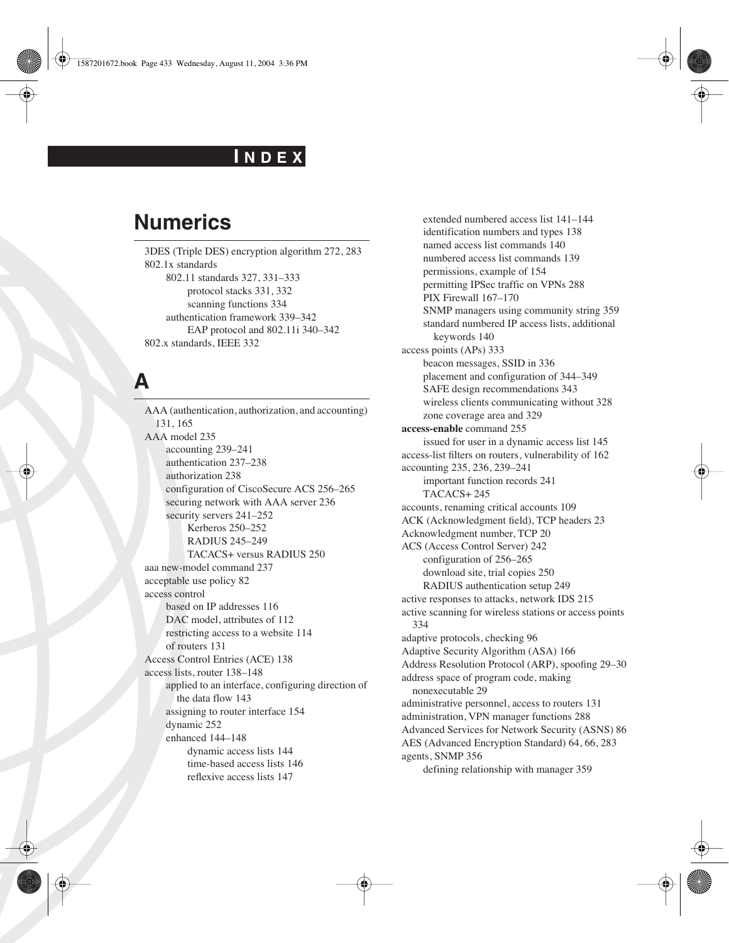#### **I N D E X**

### **Numerics**

3DES (Triple DES) encryption algorithm 272, 283 802.1x standards 802.11 standards 327, 331–333 protocol stacks 331, 332 scanning functions 334 authentication framework 339–342 EAP protocol and 802.11i 340–342 802.x standards, IEEE 332

### **A**

AAA (authentication, authorization, and accounting) 131, 165 AAA model 235 accounting 239–241 authentication 237–238 authorization 238 configuration of CiscoSecure ACS 256–265 securing network with AAA server 236 security servers 241–252 Kerberos 250–252 RADIUS 245–249 TACACS+ versus RADIUS 250 aaa new-model command 237 acceptable use policy 82 access control based on IP addresses 116 DAC model, attributes of 112 restricting access to a website 114 of routers 131 Access Control Entries (ACE) 138 access lists, router 138–148 applied to an interface, configuring direction of the data flow 143 assigning to router interface 154 dynamic 252 enhanced 144–148 dynamic access lists 144 time-based access lists 146 reflexive access lists 147

extended numbered access list 141–144 identification numbers and types 138 named access list commands 140 numbered access list commands 139 permissions, example of 154 permitting IPSec traffic on VPNs 288 PIX Firewall 167–170 SNMP managers using community string 359 standard numbered IP access lists, additional keywords 140 access points (APs) 333 beacon messages, SSID in 336 placement and configuration of 344–349 SAFE design recommendations 343 wireless clients communicating without 328 zone coverage area and 329 **access-enable** command 255 issued for user in a dynamic access list 145 access-list filters on routers, vulnerability of 162 accounting 235, 236, 239–241 important function records 241 TACACS+ 245 accounts, renaming critical accounts 109 ACK (Acknowledgment field), TCP headers 23 Acknowledgment number, TCP 20 ACS (Access Control Server) 242 configuration of 256–265 download site, trial copies 250 RADIUS authentication setup 249 active responses to attacks, network IDS 215 active scanning for wireless stations or access points 334 adaptive protocols, checking 96 Adaptive Security Algorithm (ASA) 166 Address Resolution Protocol (ARP), spoofing 29–30 address space of program code, making nonexecutable 29 administrative personnel, access to routers 131 administration, VPN manager functions 288 Advanced Services for Network Security (ASNS) 86 AES (Advanced Encryption Standard) 64, 66, 283 agents, SNMP 356 defining relationship with manager 359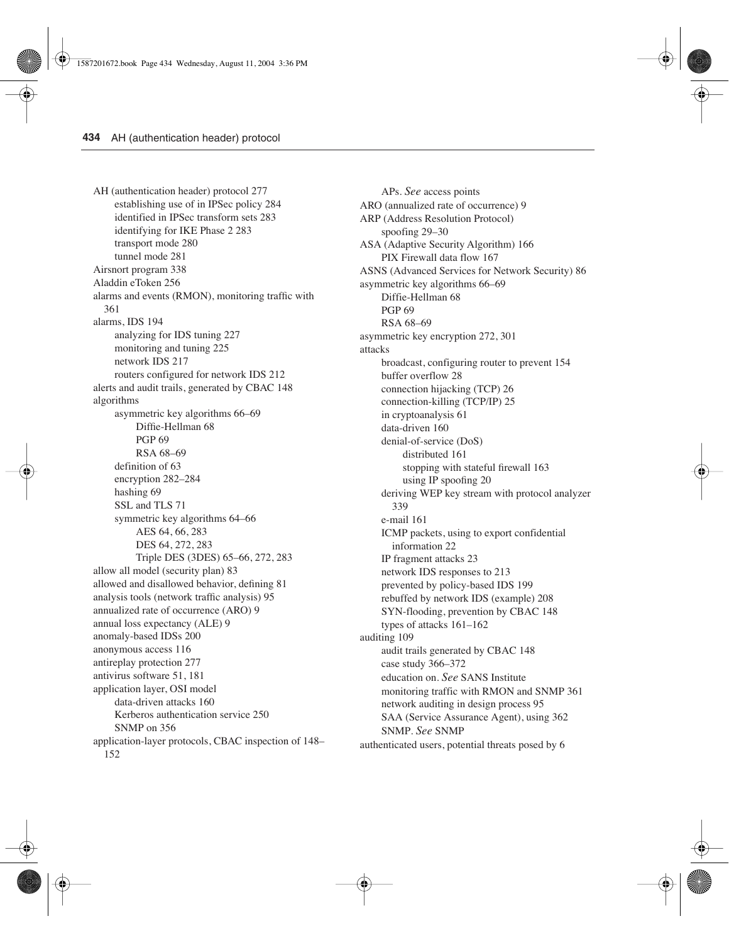AH (authentication header) protocol 277 establishing use of in IPSec policy 284 identified in IPSec transform sets 283 identifying for IKE Phase 2 283 transport mode 280 tunnel mode 281 Airsnort program 338 Aladdin eToken 256 alarms and events (RMON), monitoring traffic with 361 alarms, IDS 194 analyzing for IDS tuning 227 monitoring and tuning 225 network IDS 217 routers configured for network IDS 212 alerts and audit trails, generated by CBAC 148 algorithms asymmetric key algorithms 66–69 Diffie-Hellman 68 PGP 69 RSA 68–69 definition of 63 encryption 282–284 hashing 69 SSL and TLS 71 symmetric key algorithms 64–66 AES 64, 66, 283 DES 64, 272, 283 Triple DES (3DES) 65–66, 272, 283 allow all model (security plan) 83 allowed and disallowed behavior, defining 81 analysis tools (network traffic analysis) 95 annualized rate of occurrence (ARO) 9 annual loss expectancy (ALE) 9 anomaly-based IDSs 200 anonymous access 116 antireplay protection 277 antivirus software 51, 181 application layer, OSI model data-driven attacks 160 Kerberos authentication service 250 SNMP on 356 application-layer protocols, CBAC inspection of 148– 152

APs. *See* access points ARO (annualized rate of occurrence) 9 ARP (Address Resolution Protocol) spoofing 29–30 ASA (Adaptive Security Algorithm) 166 PIX Firewall data flow 167 ASNS (Advanced Services for Network Security) 86 asymmetric key algorithms 66–69 Diffie-Hellman 68 PGP 69 RSA 68–69 asymmetric key encryption 272, 301 attacks broadcast, configuring router to prevent 154 buffer overflow 28 connection hijacking (TCP) 26 connection-killing (TCP/IP) 25 in cryptoanalysis 61 data-driven 160 denial-of-service (DoS) distributed 161 stopping with stateful firewall 163 using IP spoofing 20 deriving WEP key stream with protocol analyzer 339 e-mail 161 ICMP packets, using to export confidential information 22 IP fragment attacks 23 network IDS responses to 213 prevented by policy-based IDS 199 rebuffed by network IDS (example) 208 SYN-flooding, prevention by CBAC 148 types of attacks 161–162 auditing 109 audit trails generated by CBAC 148 case study 366–372 education on. *See* SANS Institute monitoring traffic with RMON and SNMP 361 network auditing in design process 95 SAA (Service Assurance Agent), using 362 SNMP. *See* SNMP authenticated users, potential threats posed by 6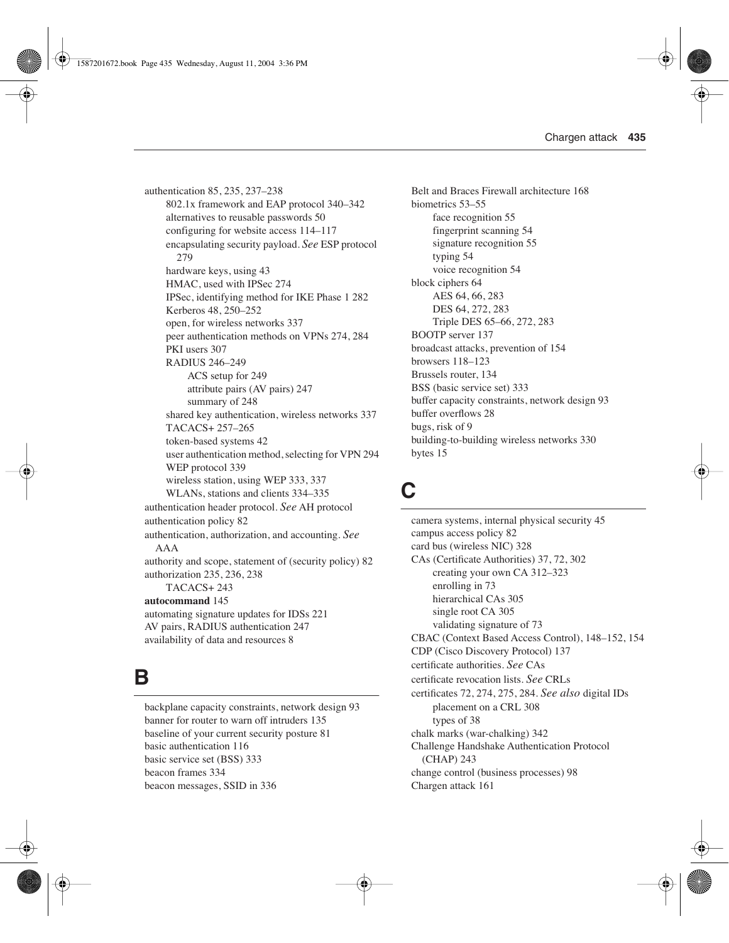authentication 85, 235, 237–238 802.1x framework and EAP protocol 340–342 alternatives to reusable passwords 50 configuring for website access 114–117 encapsulating security payload. *See* ESP protocol 279 hardware keys, using 43 HMAC, used with IPSec 274 IPSec, identifying method for IKE Phase 1 282 Kerberos 48, 250–252 open, for wireless networks 337 peer authentication methods on VPNs 274, 284 PKI users 307 RADIUS 246–249 ACS setup for 249 attribute pairs (AV pairs) 247 summary of 248 shared key authentication, wireless networks 337 TACACS+ 257–265 token-based systems 42 user authentication method, selecting for VPN 294 WEP protocol 339 wireless station, using WEP 333, 337 WLANs, stations and clients 334–335 authentication header protocol. *See* AH protocol authentication policy 82 authentication, authorization, and accounting. *See* AAA authority and scope, statement of (security policy) 82 authorization 235, 236, 238 TACACS+ 243 **autocommand** 145 automating signature updates for IDSs 221 AV pairs, RADIUS authentication 247 availability of data and resources 8

#### **B**

backplane capacity constraints, network design 93 banner for router to warn off intruders 135 baseline of your current security posture 81 basic authentication 116 basic service set (BSS) 333 beacon frames 334 beacon messages, SSID in 336

Belt and Braces Firewall architecture 168 biometrics 53–55 face recognition 55 fingerprint scanning 54 signature recognition 55 typing 54 voice recognition 54 block ciphers 64 AES 64, 66, 283 DES 64, 272, 283 Triple DES 65–66, 272, 283 BOOTP server 137 broadcast attacks, prevention of 154 browsers 118–123 Brussels router, 134 BSS (basic service set) 333 buffer capacity constraints, network design 93 buffer overflows 28 bugs, risk of 9 building-to-building wireless networks 330 bytes 15

# **C**

camera systems, internal physical security 45 campus access policy 82 card bus (wireless NIC) 328 CAs (Certificate Authorities) 37, 72, 302 creating your own CA 312–323 enrolling in 73 hierarchical CAs 305 single root CA 305 validating signature of 73 CBAC (Context Based Access Control), 148–152, 154 CDP (Cisco Discovery Protocol) 137 certificate authorities. *See* CAs certificate revocation lists. *See* CRLs certificates 72, 274, 275, 284. *See also* digital IDs placement on a CRL 308 types of 38 chalk marks (war-chalking) 342 Challenge Handshake Authentication Protocol (CHAP) 243 change control (business processes) 98 Chargen attack 161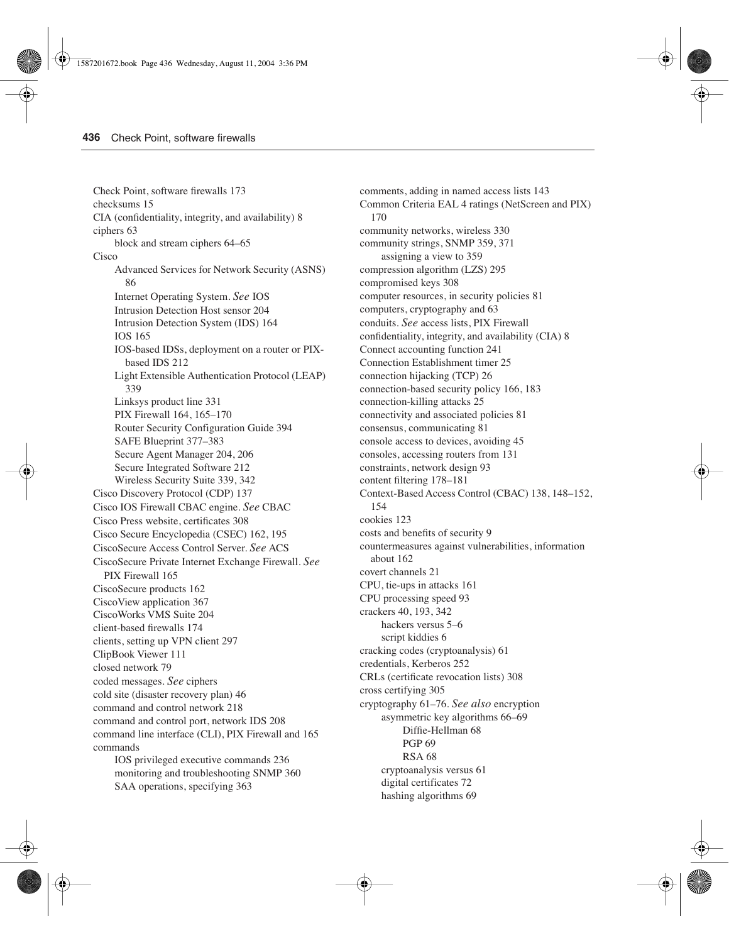Check Point, software firewalls 173 checksums 15 CIA (confidentiality, integrity, and availability) 8 ciphers 63 block and stream ciphers 64–65 Cisco Advanced Services for Network Security (ASNS) 86 Internet Operating System. *See* IOS Intrusion Detection Host sensor 204 Intrusion Detection System (IDS) 164 IOS 165 IOS-based IDSs, deployment on a router or PIXbased IDS 212 Light Extensible Authentication Protocol (LEAP) 339 Linksys product line 331 PIX Firewall 164, 165–170 Router Security Configuration Guide 394 SAFE Blueprint 377–383 Secure Agent Manager 204, 206 Secure Integrated Software 212 Wireless Security Suite 339, 342 Cisco Discovery Protocol (CDP) 137 Cisco IOS Firewall CBAC engine. *See* CBAC Cisco Press website, certificates 308 Cisco Secure Encyclopedia (CSEC) 162, 195 CiscoSecure Access Control Server. *See* ACS CiscoSecure Private Internet Exchange Firewall. *See*  PIX Firewall 165 CiscoSecure products 162 CiscoView application 367 CiscoWorks VMS Suite 204 client-based firewalls 174 clients, setting up VPN client 297 ClipBook Viewer 111 closed network 79 coded messages. *See* ciphers cold site (disaster recovery plan) 46 command and control network 218 command and control port, network IDS 208 command line interface (CLI), PIX Firewall and 165 commands IOS privileged executive commands 236

monitoring and troubleshooting SNMP 360 SAA operations, specifying 363

comments, adding in named access lists 143 Common Criteria EAL 4 ratings (NetScreen and PIX) 170 community networks, wireless 330 community strings, SNMP 359, 371 assigning a view to 359 compression algorithm (LZS) 295 compromised keys 308 computer resources, in security policies 81 computers, cryptography and 63 conduits. *See* access lists, PIX Firewall confidentiality, integrity, and availability (CIA) 8 Connect accounting function 241 Connection Establishment timer 25 connection hijacking (TCP) 26 connection-based security policy 166, 183 connection-killing attacks 25 connectivity and associated policies 81 consensus, communicating 81 console access to devices, avoiding 45 consoles, accessing routers from 131 constraints, network design 93 content filtering 178–181 Context-Based Access Control (CBAC) 138, 148–152, 154 cookies 123 costs and benefits of security 9 countermeasures against vulnerabilities, information about 162 covert channels 21 CPU, tie-ups in attacks 161 CPU processing speed 93 crackers 40, 193, 342 hackers versus 5–6 script kiddies 6 cracking codes (cryptoanalysis) 61 credentials, Kerberos 252 CRLs (certificate revocation lists) 308 cross certifying 305 cryptography 61–76. *See also* encryption asymmetric key algorithms 66–69 Diffie-Hellman 68 PGP 69 RSA 68 cryptoanalysis versus 61 digital certificates 72 hashing algorithms 69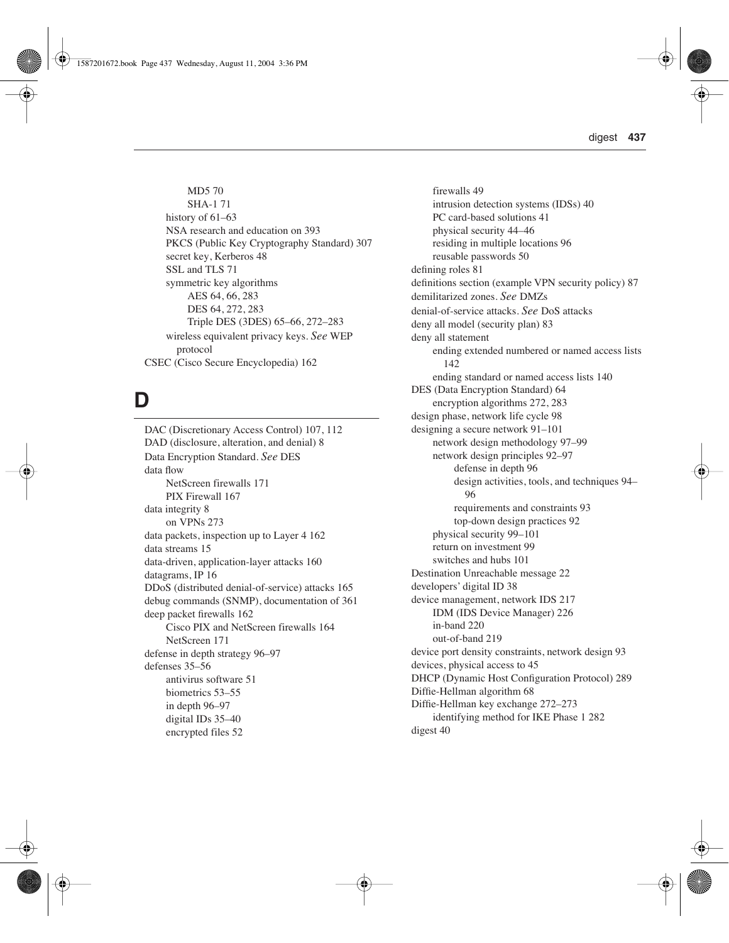MD5 70 SHA-1 71 history of  $61-63$ NSA research and education on 393 PKCS (Public Key Cryptography Standard) 307 secret key, Kerberos 48 SSL and TLS 71 symmetric key algorithms AES 64, 66, 283 DES 64, 272, 283 Triple DES (3DES) 65–66, 272–283 wireless equivalent privacy keys. *See* WEP protocol CSEC (Cisco Secure Encyclopedia) 162

# **D**

DAC (Discretionary Access Control) 107, 112 DAD (disclosure, alteration, and denial) 8 Data Encryption Standard. *See* DES data flow NetScreen firewalls 171 PIX Firewall 167 data integrity 8 on VPNs 273 data packets, inspection up to Layer 4 162 data streams 15 data-driven, application-layer attacks 160 datagrams, IP 16 DDoS (distributed denial-of-service) attacks 165 debug commands (SNMP), documentation of 361 deep packet firewalls 162 Cisco PIX and NetScreen firewalls 164 NetScreen 171 defense in depth strategy 96–97 defenses 35–56 antivirus software 51 biometrics 53–55 in depth 96–97 digital IDs 35–40 encrypted files 52

firewalls 49 intrusion detection systems (IDSs) 40 PC card-based solutions 41 physical security 44–46 residing in multiple locations 96 reusable passwords 50 defining roles 81 definitions section (example VPN security policy) 87 demilitarized zones. *See* DMZs denial-of-service attacks. *See* DoS attacks deny all model (security plan) 83 deny all statement ending extended numbered or named access lists 142 ending standard or named access lists 140 DES (Data Encryption Standard) 64 encryption algorithms 272, 283 design phase, network life cycle 98 designing a secure network 91–101 network design methodology 97–99 network design principles 92–97 defense in depth 96 design activities, tools, and techniques 94– 96 requirements and constraints 93 top-down design practices 92 physical security 99–101 return on investment 99 switches and hubs 101 Destination Unreachable message 22 developers' digital ID 38 device management, network IDS 217 IDM (IDS Device Manager) 226 in-band 220 out-of-band 219 device port density constraints, network design 93 devices, physical access to 45 DHCP (Dynamic Host Configuration Protocol) 289 Diffie-Hellman algorithm 68 Diffie-Hellman key exchange 272–273 identifying method for IKE Phase 1 282 digest 40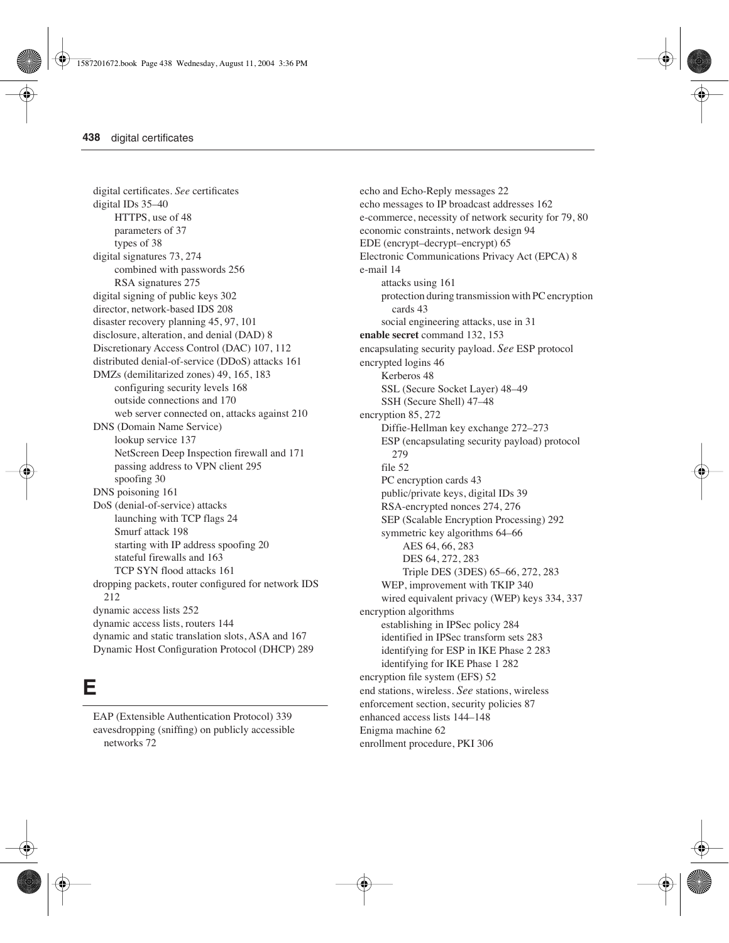digital certificates. *See* certificates digital IDs 35–40 HTTPS, use of 48 parameters of 37 types of 38 digital signatures 73, 274 combined with passwords 256 RSA signatures 275 digital signing of public keys 302 director, network-based IDS 208 disaster recovery planning 45, 97, 101 disclosure, alteration, and denial (DAD) 8 Discretionary Access Control (DAC) 107, 112 distributed denial-of-service (DDoS) attacks 161 DMZs (demilitarized zones) 49, 165, 183 configuring security levels 168 outside connections and 170 web server connected on, attacks against 210 DNS (Domain Name Service) lookup service 137 NetScreen Deep Inspection firewall and 171 passing address to VPN client 295 spoofing 30 DNS poisoning 161 DoS (denial-of-service) attacks launching with TCP flags 24 Smurf attack 198 starting with IP address spoofing 20 stateful firewalls and 163 TCP SYN flood attacks 161 dropping packets, router configured for network IDS 212 dynamic access lists 252 dynamic access lists, routers 144 dynamic and static translation slots, ASA and 167 Dynamic Host Configuration Protocol (DHCP) 289

#### **E**

EAP (Extensible Authentication Protocol) 339 eavesdropping (sniffing) on publicly accessible networks 72

echo and Echo-Reply messages 22 echo messages to IP broadcast addresses 162 e-commerce, necessity of network security for 79, 80 economic constraints, network design 94 EDE (encrypt–decrypt–encrypt) 65 Electronic Communications Privacy Act (EPCA) 8 e-mail 14 attacks using 161 protection during transmission with PC encryption cards 43 social engineering attacks, use in 31 **enable secret** command 132, 153 encapsulating security payload. *See* ESP protocol encrypted logins 46 Kerberos 48 SSL (Secure Socket Layer) 48–49 SSH (Secure Shell) 47–48 encryption 85, 272 Diffie-Hellman key exchange 272–273 ESP (encapsulating security payload) protocol 279 file 52 PC encryption cards 43 public/private keys, digital IDs 39 RSA-encrypted nonces 274, 276 SEP (Scalable Encryption Processing) 292 symmetric key algorithms 64–66 AES 64, 66, 283 DES 64, 272, 283 Triple DES (3DES) 65–66, 272, 283 WEP, improvement with TKIP 340 wired equivalent privacy (WEP) keys 334, 337 encryption algorithms establishing in IPSec policy 284 identified in IPSec transform sets 283 identifying for ESP in IKE Phase 2 283 identifying for IKE Phase 1 282 encryption file system (EFS) 52 end stations, wireless. *See* stations, wireless enforcement section, security policies 87 enhanced access lists 144–148 Enigma machine 62 enrollment procedure, PKI 306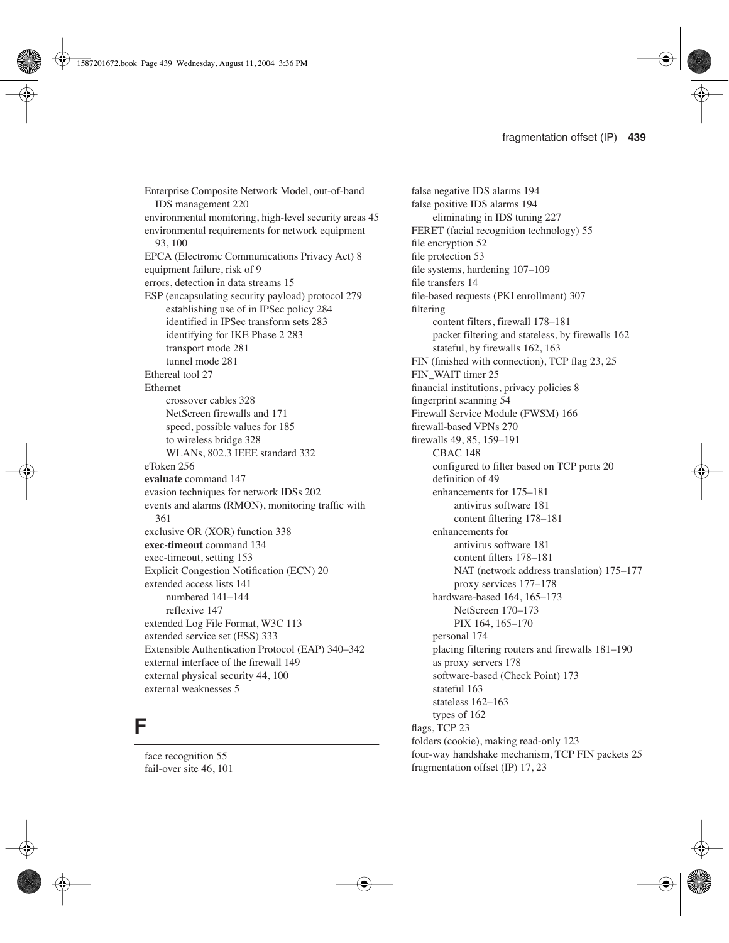Enterprise Composite Network Model, out-of-band IDS management 220 environmental monitoring, high-level security areas 45 environmental requirements for network equipment 93, 100 EPCA (Electronic Communications Privacy Act) 8 equipment failure, risk of 9 errors, detection in data streams 15 ESP (encapsulating security payload) protocol 279 establishing use of in IPSec policy 284 identified in IPSec transform sets 283 identifying for IKE Phase 2 283 transport mode 281 tunnel mode 281 Ethereal tool 27 Ethernet crossover cables 328 NetScreen firewalls and 171 speed, possible values for 185 to wireless bridge 328 WLANs, 802.3 IEEE standard 332 eToken 256 **evaluate** command 147 evasion techniques for network IDSs 202 events and alarms (RMON), monitoring traffic with 361 exclusive OR (XOR) function 338 **exec-timeout** command 134 exec-timeout, setting 153 Explicit Congestion Notification (ECN) 20 extended access lists 141 numbered 141–144 reflexive 147 extended Log File Format, W3C 113 extended service set (ESS) 333 Extensible Authentication Protocol (EAP) 340–342 external interface of the firewall 149 external physical security 44, 100 external weaknesses 5

#### **F**

face recognition 55 fail-over site 46, 101

false negative IDS alarms 194 false positive IDS alarms 194 eliminating in IDS tuning 227 FERET (facial recognition technology) 55 file encryption 52 file protection 53 file systems, hardening 107–109 file transfers 14 file-based requests (PKI enrollment) 307 filtering content filters, firewall 178–181 packet filtering and stateless, by firewalls 162 stateful, by firewalls 162, 163 FIN (finished with connection), TCP flag 23, 25 FIN\_WAIT timer 25 financial institutions, privacy policies 8 fingerprint scanning 54 Firewall Service Module (FWSM) 166 firewall-based VPNs 270 firewalls 49, 85, 159–191 CBAC 148 configured to filter based on TCP ports 20 definition of 49 enhancements for 175–181 antivirus software 181 content filtering 178–181 enhancements for antivirus software 181 content filters 178–181 NAT (network address translation) 175–177 proxy services 177–178 hardware-based 164, 165–173 NetScreen 170–173 PIX 164, 165–170 personal 174 placing filtering routers and firewalls 181–190 as proxy servers 178 software-based (Check Point) 173 stateful 163 stateless 162–163 types of 162 flags, TCP 23 folders (cookie), making read-only 123 four-way handshake mechanism, TCP FIN packets 25 fragmentation offset (IP) 17, 23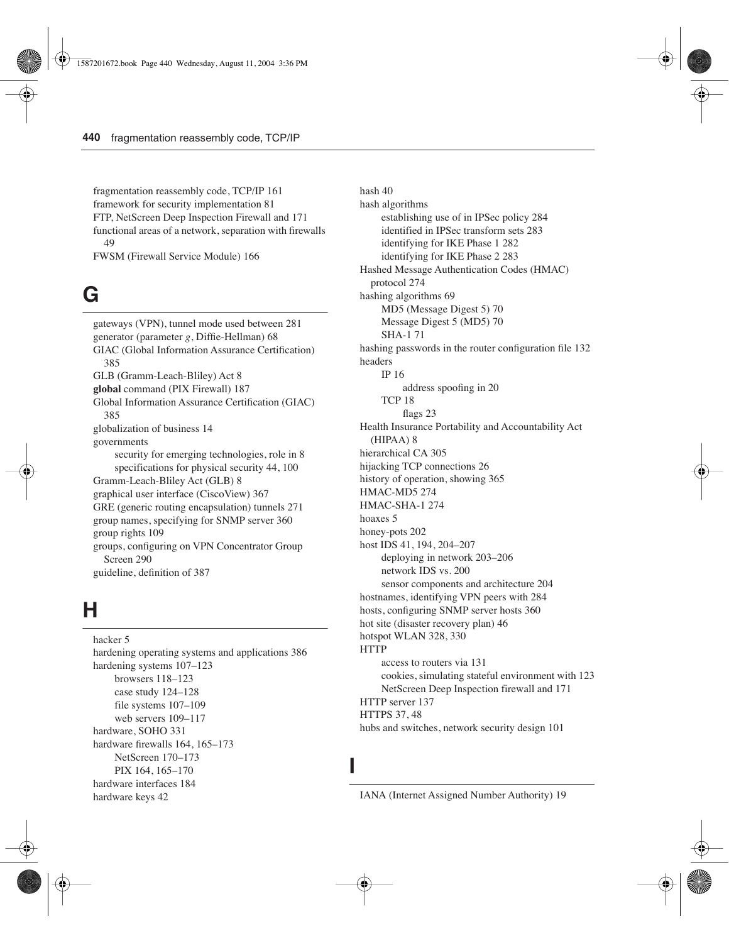fragmentation reassembly code, TCP/IP 161 framework for security implementation 81 FTP, NetScreen Deep Inspection Firewall and 171 functional areas of a network, separation with firewalls 49

FWSM (Firewall Service Module) 166

# **G**

gateways (VPN), tunnel mode used between 281 generator (parameter *g*, Diffie-Hellman) 68 GIAC (Global Information Assurance Certification) 385 GLB (Gramm-Leach-Bliley) Act 8 **global** command (PIX Firewall) 187 Global Information Assurance Certification (GIAC) 385 globalization of business 14 governments security for emerging technologies, role in 8 specifications for physical security 44, 100 Gramm-Leach-Bliley Act (GLB) 8 graphical user interface (CiscoView) 367 GRE (generic routing encapsulation) tunnels 271 group names, specifying for SNMP server 360 group rights 109 groups, configuring on VPN Concentrator Group Screen 290 guideline, definition of 387

#### **H**

hacker 5 hardening operating systems and applications 386 hardening systems 107–123 browsers 118–123 case study 124–128 file systems 107–109 web servers 109–117 hardware, SOHO 331 hardware firewalls 164, 165–173 NetScreen 170–173 PIX 164, 165–170 hardware interfaces 184 hardware keys 42

hash 40 hash algorithms establishing use of in IPSec policy 284 identified in IPSec transform sets 283 identifying for IKE Phase 1 282 identifying for IKE Phase 2 283 Hashed Message Authentication Codes (HMAC) protocol 274 hashing algorithms 69 MD5 (Message Digest 5) 70 Message Digest 5 (MD5) 70 SHA-1 71 hashing passwords in the router configuration file 132 headers IP 16 address spoofing in 20 TCP 18 flags 23 Health Insurance Portability and Accountability Act (HIPAA) 8 hierarchical CA 305 hijacking TCP connections 26 history of operation, showing 365 HMAC-MD5 274 HMAC-SHA-1 274 hoaxes 5 honey-pots 202 host IDS 41, 194, 204–207 deploying in network 203–206 network IDS vs. 200 sensor components and architecture 204 hostnames, identifying VPN peers with 284 hosts, configuring SNMP server hosts 360 hot site (disaster recovery plan) 46 hotspot WLAN 328, 330 HTTP access to routers via 131 cookies, simulating stateful environment with 123 NetScreen Deep Inspection firewall and 171 HTTP server 137 HTTPS 37, 48

hubs and switches, network security design 101

**I**

IANA (Internet Assigned Number Authority) 19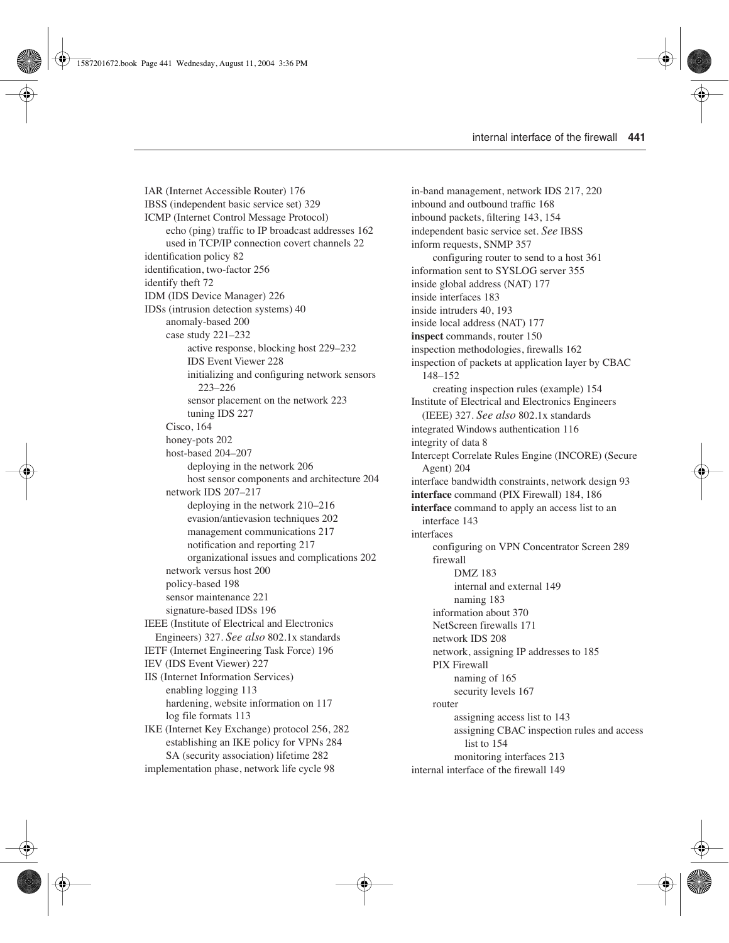IAR (Internet Accessible Router) 176 IBSS (independent basic service set) 329 ICMP (Internet Control Message Protocol) echo (ping) traffic to IP broadcast addresses 162 used in TCP/IP connection covert channels 22 identification policy 82 identification, two-factor 256 identify theft 72 IDM (IDS Device Manager) 226 IDSs (intrusion detection systems) 40 anomaly-based 200 case study 221–232 active response, blocking host 229–232 IDS Event Viewer 228 initializing and configuring network sensors 223–226 sensor placement on the network 223 tuning IDS 227 Cisco, 164 honey-pots 202 host-based 204–207 deploying in the network 206 host sensor components and architecture 204 network IDS 207–217 deploying in the network 210–216 evasion/antievasion techniques 202 management communications 217 notification and reporting 217 organizational issues and complications 202 network versus host 200 policy-based 198 sensor maintenance 221 signature-based IDSs 196 IEEE (Institute of Electrical and Electronics Engineers) 327. *See also* 802.1x standards IETF (Internet Engineering Task Force) 196 IEV (IDS Event Viewer) 227 IIS (Internet Information Services) enabling logging 113 hardening, website information on 117 log file formats 113 IKE (Internet Key Exchange) protocol 256, 282 establishing an IKE policy for VPNs 284 SA (security association) lifetime 282 implementation phase, network life cycle 98

in-band management, network IDS 217, 220 inbound and outbound traffic 168 inbound packets, filtering 143, 154 independent basic service set. *See* IBSS inform requests, SNMP 357 configuring router to send to a host 361 information sent to SYSLOG server 355 inside global address (NAT) 177 inside interfaces 183 inside intruders 40, 193 inside local address (NAT) 177 **inspect** commands, router 150 inspection methodologies, firewalls 162 inspection of packets at application layer by CBAC 148–152 creating inspection rules (example) 154 Institute of Electrical and Electronics Engineers (IEEE) 327. *See also* 802.1x standards integrated Windows authentication 116 integrity of data 8 Intercept Correlate Rules Engine (INCORE) (Secure Agent) 204 interface bandwidth constraints, network design 93 **interface** command (PIX Firewall) 184, 186 **interface** command to apply an access list to an interface 143 interfaces configuring on VPN Concentrator Screen 289 firewall DMZ 183 internal and external 149 naming 183 information about 370 NetScreen firewalls 171 network IDS 208 network, assigning IP addresses to 185 PIX Firewall naming of 165 security levels 167 router assigning access list to 143 assigning CBAC inspection rules and access list to 154 monitoring interfaces 213 internal interface of the firewall 149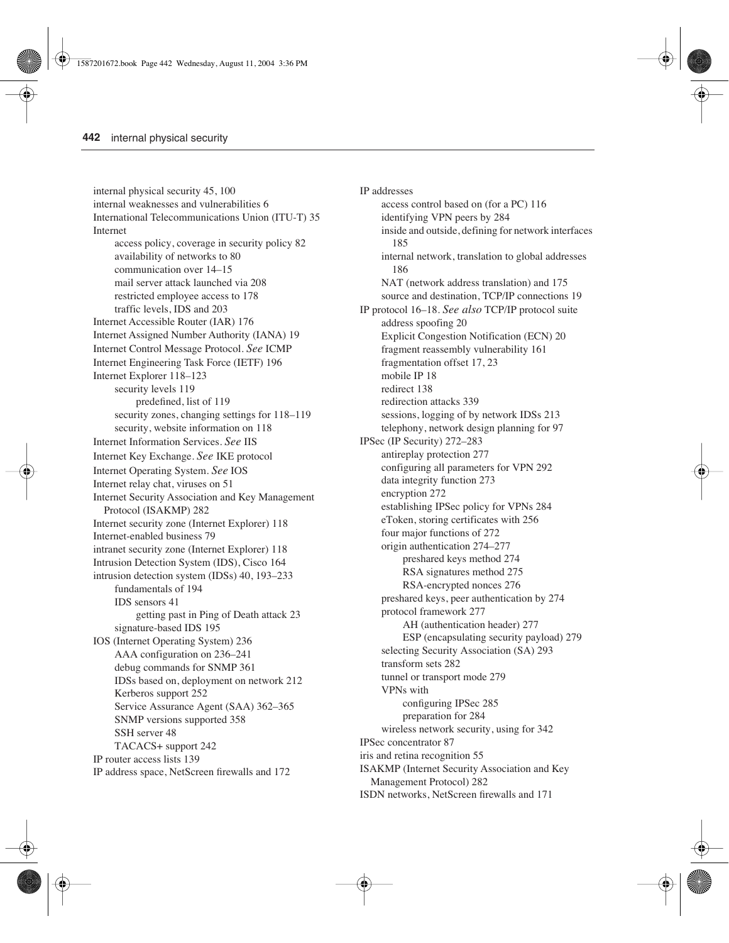internal physical security 45, 100 internal weaknesses and vulnerabilities 6 International Telecommunications Union (ITU-T) 35 Internet access policy, coverage in security policy 82 availability of networks to 80 communication over 14–15 mail server attack launched via 208 restricted employee access to 178 traffic levels, IDS and 203 Internet Accessible Router (IAR) 176 Internet Assigned Number Authority (IANA) 19 Internet Control Message Protocol. *See* ICMP Internet Engineering Task Force (IETF) 196 Internet Explorer 118–123 security levels 119 predefined, list of 119 security zones, changing settings for 118–119 security, website information on 118 Internet Information Services. *See* IIS Internet Key Exchange. *See* IKE protocol Internet Operating System. *See* IOS Internet relay chat, viruses on 51 Internet Security Association and Key Management Protocol (ISAKMP) 282 Internet security zone (Internet Explorer) 118 Internet-enabled business 79 intranet security zone (Internet Explorer) 118 Intrusion Detection System (IDS), Cisco 164 intrusion detection system (IDSs) 40, 193–233 fundamentals of 194 IDS sensors 41 getting past in Ping of Death attack 23 signature-based IDS 195 IOS (Internet Operating System) 236 AAA configuration on 236–241 debug commands for SNMP 361 IDSs based on, deployment on network 212 Kerberos support 252 Service Assurance Agent (SAA) 362–365 SNMP versions supported 358 SSH server 48 TACACS+ support 242 IP router access lists 139 IP address space, NetScreen firewalls and 172

IP addresses access control based on (for a PC) 116 identifying VPN peers by 284 inside and outside, defining for network interfaces 185 internal network, translation to global addresses 186 NAT (network address translation) and 175 source and destination, TCP/IP connections 19 IP protocol 16–18. *See also* TCP/IP protocol suite address spoofing 20 Explicit Congestion Notification (ECN) 20 fragment reassembly vulnerability 161 fragmentation offset 17, 23 mobile IP 18 redirect 138 redirection attacks 339 sessions, logging of by network IDSs 213 telephony, network design planning for 97 IPSec (IP Security) 272–283 antireplay protection 277 configuring all parameters for VPN 292 data integrity function 273 encryption 272 establishing IPSec policy for VPNs 284 eToken, storing certificates with 256 four major functions of 272 origin authentication 274–277 preshared keys method 274 RSA signatures method 275 RSA-encrypted nonces 276 preshared keys, peer authentication by 274 protocol framework 277 AH (authentication header) 277 ESP (encapsulating security payload) 279 selecting Security Association (SA) 293 transform sets 282 tunnel or transport mode 279 VPNs with configuring IPSec 285 preparation for 284 wireless network security, using for 342 IPSec concentrator 87 iris and retina recognition 55 ISAKMP (Internet Security Association and Key Management Protocol) 282 ISDN networks, NetScreen firewalls and 171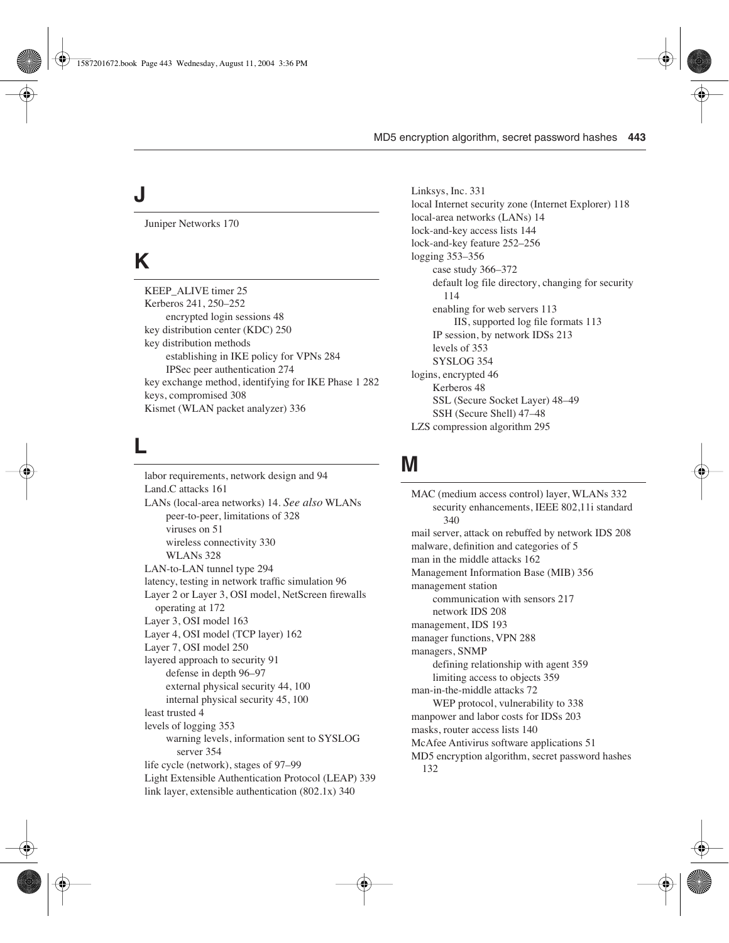# **J**

Juniper Networks 170

# **K**

KEEP\_ALIVE timer 25 Kerberos 241, 250–252 encrypted login sessions 48 key distribution center (KDC) 250 key distribution methods establishing in IKE policy for VPNs 284 IPSec peer authentication 274 key exchange method, identifying for IKE Phase 1 282 keys, compromised 308 Kismet (WLAN packet analyzer) 336

### **L**

labor requirements, network design and 94 Land.C attacks 161 LANs (local-area networks) 14. *See also* WLANs peer-to-peer, limitations of 328 viruses on 51 wireless connectivity 330 WLANs 328 LAN-to-LAN tunnel type 294 latency, testing in network traffic simulation 96 Layer 2 or Layer 3, OSI model, NetScreen firewalls operating at 172 Layer 3, OSI model 163 Layer 4, OSI model (TCP layer) 162 Layer 7, OSI model 250 layered approach to security 91 defense in depth 96–97 external physical security 44, 100 internal physical security 45, 100 least trusted 4 levels of logging 353 warning levels, information sent to SYSLOG server 354 life cycle (network), stages of 97–99 Light Extensible Authentication Protocol (LEAP) 339 link layer, extensible authentication (802.1x) 340

Linksys, Inc. 331 local Internet security zone (Internet Explorer) 118 local-area networks (LANs) 14 lock-and-key access lists 144 lock-and-key feature 252–256 logging 353–356 case study 366–372 default log file directory, changing for security 114 enabling for web servers 113 IIS, supported log file formats 113 IP session, by network IDSs 213 levels of 353 SYSLOG 354 logins, encrypted 46 Kerberos 48 SSL (Secure Socket Layer) 48–49 SSH (Secure Shell) 47–48 LZS compression algorithm 295

#### **M**

MAC (medium access control) layer, WLANs 332 security enhancements, IEEE 802,11i standard 340 mail server, attack on rebuffed by network IDS 208 malware, definition and categories of 5 man in the middle attacks 162 Management Information Base (MIB) 356 management station communication with sensors 217 network IDS 208 management, IDS 193 manager functions, VPN 288 managers, SNMP defining relationship with agent 359 limiting access to objects 359 man-in-the-middle attacks 72 WEP protocol, vulnerability to 338 manpower and labor costs for IDSs 203 masks, router access lists 140 McAfee Antivirus software applications 51 MD5 encryption algorithm, secret password hashes 132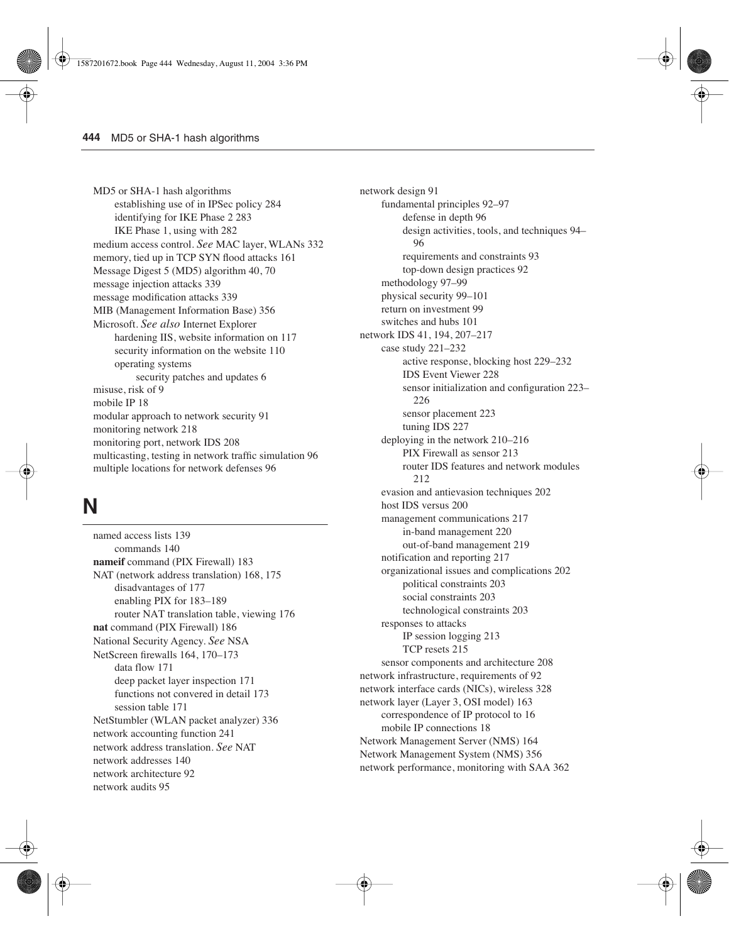MD5 or SHA-1 hash algorithms establishing use of in IPSec policy 284 identifying for IKE Phase 2 283 IKE Phase 1, using with 282 medium access control. *See* MAC layer, WLANs 332 memory, tied up in TCP SYN flood attacks 161 Message Digest 5 (MD5) algorithm 40, 70 message injection attacks 339 message modification attacks 339 MIB (Management Information Base) 356 Microsoft. *See also* Internet Explorer hardening IIS, website information on 117 security information on the website 110 operating systems security patches and updates 6 misuse, risk of 9 mobile IP 18 modular approach to network security 91 monitoring network 218 monitoring port, network IDS 208 multicasting, testing in network traffic simulation 96 multiple locations for network defenses 96

### **N**

named access lists 139 commands 140 **nameif** command (PIX Firewall) 183 NAT (network address translation) 168, 175 disadvantages of 177 enabling PIX for 183–189 router NAT translation table, viewing 176 **nat** command (PIX Firewall) 186 National Security Agency. *See* NSA NetScreen firewalls 164, 170–173 data flow 171 deep packet layer inspection 171 functions not convered in detail 173 session table 171 NetStumbler (WLAN packet analyzer) 336 network accounting function 241 network address translation. *See* NAT network addresses 140 network architecture 92 network audits 95

network design 91 fundamental principles 92–97 defense in depth 96 design activities, tools, and techniques 94– 96 requirements and constraints 93 top-down design practices 92 methodology 97–99 physical security 99–101 return on investment 99 switches and hubs 101 network IDS 41, 194, 207–217 case study 221–232 active response, blocking host 229–232 IDS Event Viewer 228 sensor initialization and configuration 223– 226 sensor placement 223 tuning IDS 227 deploying in the network 210–216 PIX Firewall as sensor 213 router IDS features and network modules 212 evasion and antievasion techniques 202 host IDS versus 200 management communications 217 in-band management 220 out-of-band management 219 notification and reporting 217 organizational issues and complications 202 political constraints 203 social constraints 203 technological constraints 203 responses to attacks IP session logging 213 TCP resets 215 sensor components and architecture 208 network infrastructure, requirements of 92 network interface cards (NICs), wireless 328 network layer (Layer 3, OSI model) 163 correspondence of IP protocol to 16 mobile IP connections 18 Network Management Server (NMS) 164 Network Management System (NMS) 356 network performance, monitoring with SAA 362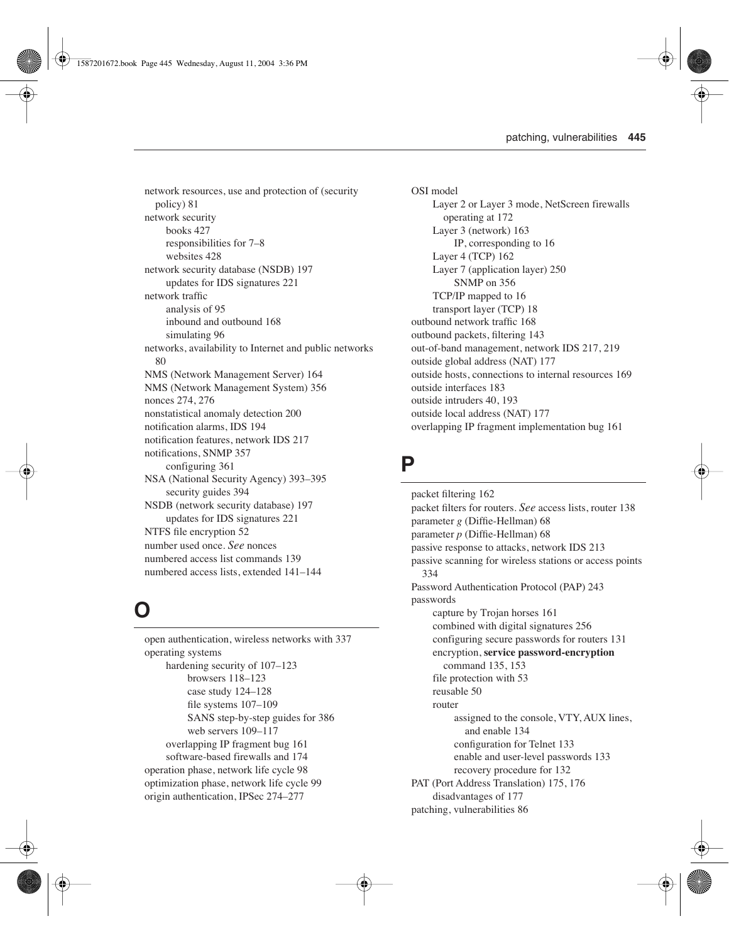network resources, use and protection of (security policy) 81 network security books 427 responsibilities for 7–8 websites 428 network security database (NSDB) 197 updates for IDS signatures 221 network traffic analysis of 95 inbound and outbound 168 simulating 96 networks, availability to Internet and public networks 80 NMS (Network Management Server) 164 NMS (Network Management System) 356 nonces 274, 276 nonstatistical anomaly detection 200 notification alarms, IDS 194 notification features, network IDS 217 notifications, SNMP 357 configuring 361 NSA (National Security Agency) 393–395 security guides 394 NSDB (network security database) 197 updates for IDS signatures 221 NTFS file encryption 52 number used once. *See* nonces numbered access list commands 139 numbered access lists, extended 141–144

#### **O**

open authentication, wireless networks with 337 operating systems hardening security of 107–123 browsers 118–123 case study 124–128 file systems 107–109 SANS step-by-step guides for 386 web servers 109–117 overlapping IP fragment bug 161 software-based firewalls and 174 operation phase, network life cycle 98 optimization phase, network life cycle 99 origin authentication, IPSec 274–277

OSI model Layer 2 or Layer 3 mode, NetScreen firewalls operating at 172 Layer 3 (network) 163 IP, corresponding to 16 Layer 4 (TCP) 162 Layer 7 (application layer) 250 SNMP on 356 TCP/IP mapped to 16 transport layer (TCP) 18 outbound network traffic 168 outbound packets, filtering 143 out-of-band management, network IDS 217, 219 outside global address (NAT) 177 outside hosts, connections to internal resources 169 outside interfaces 183 outside intruders 40, 193 outside local address (NAT) 177 overlapping IP fragment implementation bug 161

#### **P**

packet filtering 162 packet filters for routers. *See* access lists, router 138 parameter *g* (Diffie-Hellman) 68 parameter *p* (Diffie-Hellman) 68 passive response to attacks, network IDS 213 passive scanning for wireless stations or access points 334 Password Authentication Protocol (PAP) 243 passwords capture by Trojan horses 161 combined with digital signatures 256 configuring secure passwords for routers 131 encryption, **service password-encryption** command 135, 153 file protection with 53 reusable 50 router assigned to the console, VTY, AUX lines, and enable 134 configuration for Telnet 133 enable and user-level passwords 133 recovery procedure for 132 PAT (Port Address Translation) 175, 176 disadvantages of 177 patching, vulnerabilities 86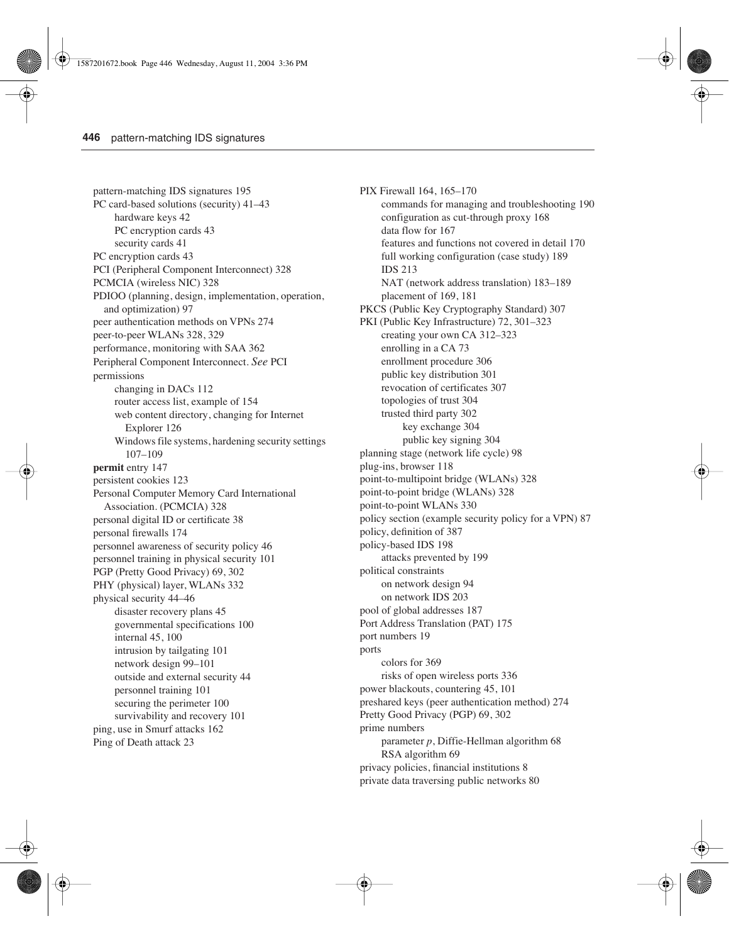pattern-matching IDS signatures 195 PC card-based solutions (security) 41–43 hardware keys 42 PC encryption cards 43 security cards 41 PC encryption cards 43 PCI (Peripheral Component Interconnect) 328 PCMCIA (wireless NIC) 328 PDIOO (planning, design, implementation, operation, and optimization) 97 peer authentication methods on VPNs 274 peer-to-peer WLANs 328, 329 performance, monitoring with SAA 362 Peripheral Component Interconnect. *See* PCI permissions changing in DACs 112 router access list, example of 154 web content directory, changing for Internet Explorer 126 Windows file systems, hardening security settings 107–109 **permit** entry 147 persistent cookies 123 Personal Computer Memory Card International Association. (PCMCIA) 328 personal digital ID or certificate 38 personal firewalls 174 personnel awareness of security policy 46 personnel training in physical security 101 PGP (Pretty Good Privacy) 69, 302 PHY (physical) layer, WLANs 332 physical security 44–46 disaster recovery plans 45 governmental specifications 100 internal 45, 100 intrusion by tailgating 101 network design 99–101 outside and external security 44 personnel training 101 securing the perimeter 100 survivability and recovery 101 ping, use in Smurf attacks 162 Ping of Death attack 23

PIX Firewall 164, 165–170 commands for managing and troubleshooting 190 configuration as cut-through proxy 168 data flow for 167 features and functions not covered in detail 170 full working configuration (case study) 189 IDS 213 NAT (network address translation) 183–189 placement of 169, 181 PKCS (Public Key Cryptography Standard) 307 PKI (Public Key Infrastructure) 72, 301–323 creating your own CA 312–323 enrolling in a CA 73 enrollment procedure 306 public key distribution 301 revocation of certificates 307 topologies of trust 304 trusted third party 302 key exchange 304 public key signing 304 planning stage (network life cycle) 98 plug-ins, browser 118 point-to-multipoint bridge (WLANs) 328 point-to-point bridge (WLANs) 328 point-to-point WLANs 330 policy section (example security policy for a VPN) 87 policy, definition of 387 policy-based IDS 198 attacks prevented by 199 political constraints on network design 94 on network IDS 203 pool of global addresses 187 Port Address Translation (PAT) 175 port numbers 19 ports colors for 369 risks of open wireless ports 336 power blackouts, countering 45, 101 preshared keys (peer authentication method) 274 Pretty Good Privacy (PGP) 69, 302 prime numbers parameter *p*, Diffie-Hellman algorithm 68 RSA algorithm 69 privacy policies, financial institutions 8 private data traversing public networks 80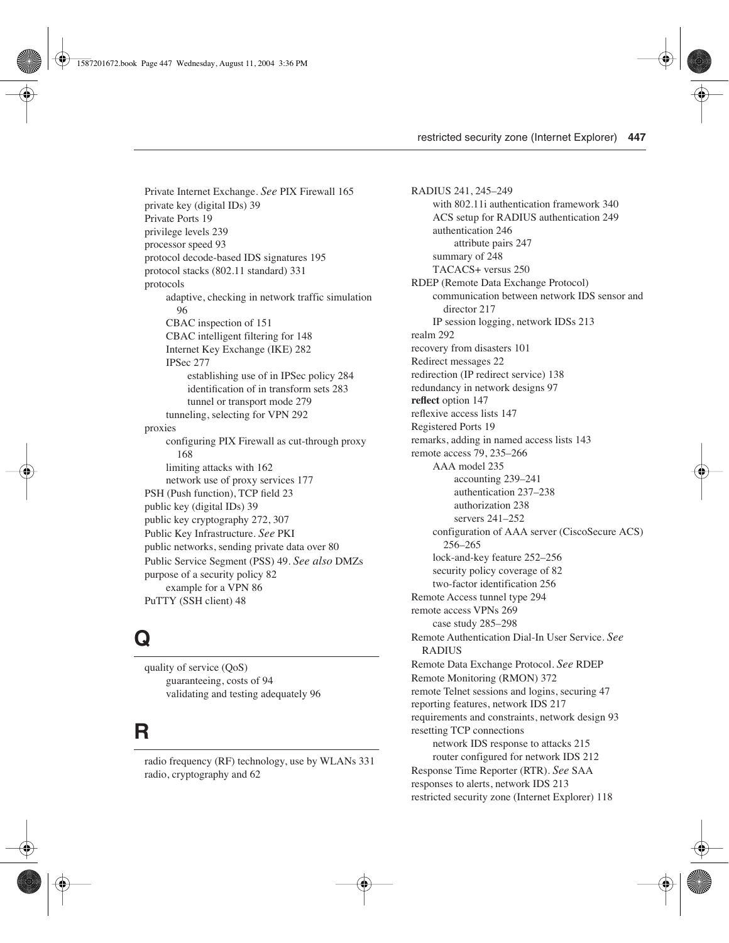Private Internet Exchange. *See* PIX Firewall 165 private key (digital IDs) 39 Private Ports 19 privilege levels 239 processor speed 93 protocol decode-based IDS signatures 195 protocol stacks (802.11 standard) 331 protocols adaptive, checking in network traffic simulation 96 CBAC inspection of 151 CBAC intelligent filtering for 148 Internet Key Exchange (IKE) 282 IPSec 277 establishing use of in IPSec policy 284 identification of in transform sets 283 tunnel or transport mode 279 tunneling, selecting for VPN 292 proxies configuring PIX Firewall as cut-through proxy 168 limiting attacks with 162 network use of proxy services 177 PSH (Push function), TCP field 23 public key (digital IDs) 39 public key cryptography 272, 307 Public Key Infrastructure. *See* PKI public networks, sending private data over 80 Public Service Segment (PSS) 49. *See also* DMZs purpose of a security policy 82 example for a VPN 86 PuTTY (SSH client) 48

### **Q**

quality of service (QoS) guaranteeing, costs of 94 validating and testing adequately 96

#### **R**

radio frequency (RF) technology, use by WLANs 331 radio, cryptography and 62

RADIUS 241, 245–249 with 802.11i authentication framework 340 ACS setup for RADIUS authentication 249 authentication 246 attribute pairs 247 summary of 248 TACACS+ versus 250 RDEP (Remote Data Exchange Protocol) communication between network IDS sensor and director 217 IP session logging, network IDSs 213 realm 292 recovery from disasters 101 Redirect messages 22 redirection (IP redirect service) 138 redundancy in network designs 97 **reflect** option 147 reflexive access lists 147 Registered Ports 19 remarks, adding in named access lists 143 remote access 79, 235–266 AAA model 235 accounting 239–241 authentication 237–238 authorization 238 servers 241–252 configuration of AAA server (CiscoSecure ACS) 256–265 lock-and-key feature 252–256 security policy coverage of 82 two-factor identification 256 Remote Access tunnel type 294 remote access VPNs 269 case study 285–298 Remote Authentication Dial-In User Service. *See* RADIUS Remote Data Exchange Protocol. *See* RDEP Remote Monitoring (RMON) 372 remote Telnet sessions and logins, securing 47 reporting features, network IDS 217 requirements and constraints, network design 93 resetting TCP connections network IDS response to attacks 215 router configured for network IDS 212 Response Time Reporter (RTR). *See* SAA responses to alerts, network IDS 213 restricted security zone (Internet Explorer) 118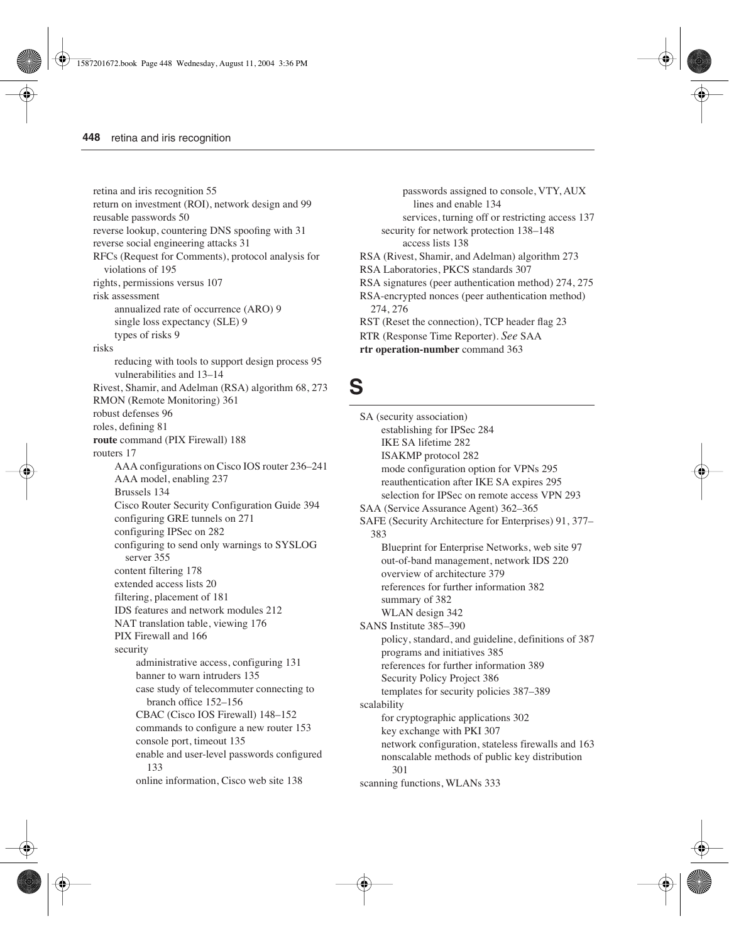retina and iris recognition 55 return on investment (ROI), network design and 99 reusable passwords 50 reverse lookup, countering DNS spoofing with 31 reverse social engineering attacks 31 RFCs (Request for Comments), protocol analysis for violations of 195 rights, permissions versus 107 risk assessment annualized rate of occurrence (ARO) 9 single loss expectancy (SLE) 9 types of risks 9 risks reducing with tools to support design process 95 vulnerabilities and 13–14 Rivest, Shamir, and Adelman (RSA) algorithm 68, 273 RMON (Remote Monitoring) 361 robust defenses 96 roles, defining 81 **route** command (PIX Firewall) 188 routers 17 AAA configurations on Cisco IOS router 236–241 AAA model, enabling 237 Brussels 134 Cisco Router Security Configuration Guide 394 configuring GRE tunnels on 271 configuring IPSec on 282 configuring to send only warnings to SYSLOG server 355 content filtering 178 extended access lists 20 filtering, placement of 181 IDS features and network modules 212 NAT translation table, viewing 176 PIX Firewall and 166 security administrative access, configuring 131 banner to warn intruders 135 case study of telecommuter connecting to branch office 152–156 CBAC (Cisco IOS Firewall) 148–152 commands to configure a new router 153 console port, timeout 135 enable and user-level passwords configured 133 online information, Cisco web site 138

passwords assigned to console, VTY, AUX lines and enable 134 services, turning off or restricting access 137 security for network protection 138–148 access lists 138 RSA (Rivest, Shamir, and Adelman) algorithm 273 RSA Laboratories, PKCS standards 307 RSA signatures (peer authentication method) 274, 275 RSA-encrypted nonces (peer authentication method) 274, 276 RST (Reset the connection), TCP header flag 23 RTR (Response Time Reporter). *See* SAA **rtr operation-number** command 363

#### **S**

SA (security association) establishing for IPSec 284 IKE SA lifetime 282 ISAKMP protocol 282 mode configuration option for VPNs 295 reauthentication after IKE SA expires 295 selection for IPSec on remote access VPN 293 SAA (Service Assurance Agent) 362–365 SAFE (Security Architecture for Enterprises) 91, 377– 383 Blueprint for Enterprise Networks, web site 97 out-of-band management, network IDS 220 overview of architecture 379 references for further information 382 summary of 382 WLAN design 342 SANS Institute 385–390 policy, standard, and guideline, definitions of 387 programs and initiatives 385 references for further information 389 Security Policy Project 386 templates for security policies 387–389 scalability for cryptographic applications 302 key exchange with PKI 307 network configuration, stateless firewalls and 163 nonscalable methods of public key distribution 301 scanning functions, WLANs 333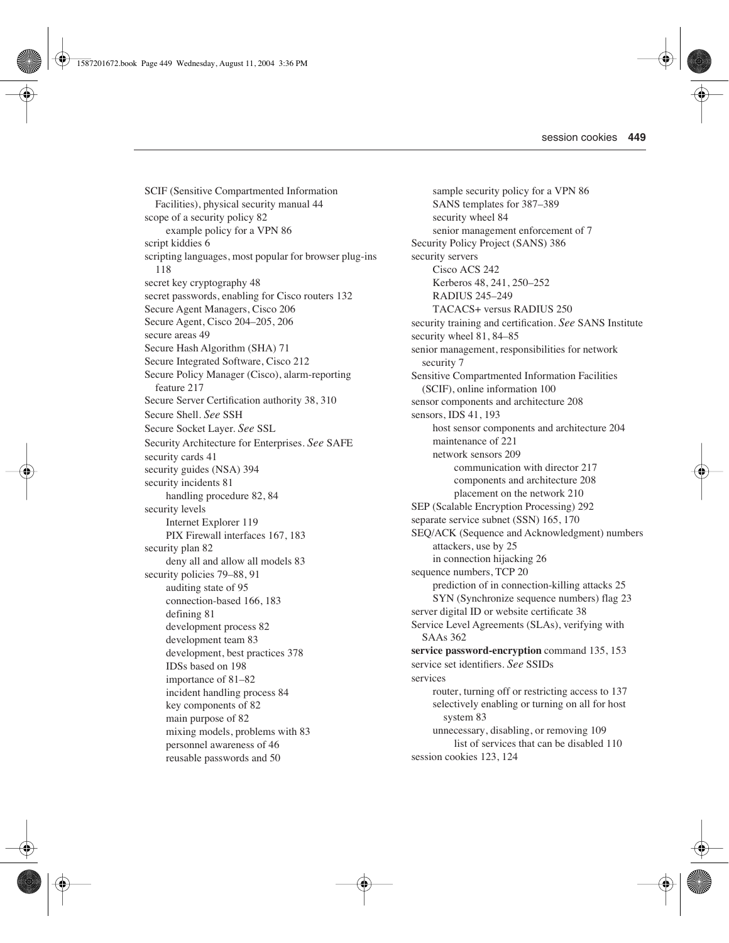SCIF (Sensitive Compartmented Information Facilities), physical security manual 44 scope of a security policy 82 example policy for a VPN 86 script kiddies 6 scripting languages, most popular for browser plug-ins 118 secret key cryptography 48 secret passwords, enabling for Cisco routers 132 Secure Agent Managers, Cisco 206 Secure Agent, Cisco 204–205, 206 secure areas 49 Secure Hash Algorithm (SHA) 71 Secure Integrated Software, Cisco 212 Secure Policy Manager (Cisco), alarm-reporting feature 217 Secure Server Certification authority 38, 310 Secure Shell. *See* SSH Secure Socket Layer. *See* SSL Security Architecture for Enterprises. *See* SAFE security cards 41 security guides (NSA) 394 security incidents 81 handling procedure 82, 84 security levels Internet Explorer 119 PIX Firewall interfaces 167, 183 security plan 82 deny all and allow all models 83 security policies 79–88, 91 auditing state of 95 connection-based 166, 183 defining 81 development process 82 development team 83 development, best practices 378 IDSs based on 198 importance of 81–82 incident handling process 84 key components of 82 main purpose of 82 mixing models, problems with 83 personnel awareness of 46 reusable passwords and 50

sample security policy for a VPN 86 SANS templates for 387–389 security wheel 84 senior management enforcement of 7 Security Policy Project (SANS) 386 security servers Cisco ACS 242 Kerberos 48, 241, 250–252 RADIUS 245–249 TACACS+ versus RADIUS 250 security training and certification. *See* SANS Institute security wheel 81, 84–85 senior management, responsibilities for network security 7 Sensitive Compartmented Information Facilities (SCIF), online information 100 sensor components and architecture 208 sensors, IDS 41, 193 host sensor components and architecture 204 maintenance of 221 network sensors 209 communication with director 217 components and architecture 208 placement on the network 210 SEP (Scalable Encryption Processing) 292 separate service subnet (SSN) 165, 170 SEQ/ACK (Sequence and Acknowledgment) numbers attackers, use by 25 in connection hijacking 26 sequence numbers, TCP 20 prediction of in connection-killing attacks 25 SYN (Synchronize sequence numbers) flag 23 server digital ID or website certificate 38 Service Level Agreements (SLAs), verifying with SAAs 362 **service password-encryption** command 135, 153 service set identifiers. *See* SSIDs services router, turning off or restricting access to 137 selectively enabling or turning on all for host system 83 unnecessary, disabling, or removing 109 list of services that can be disabled 110 session cookies 123, 124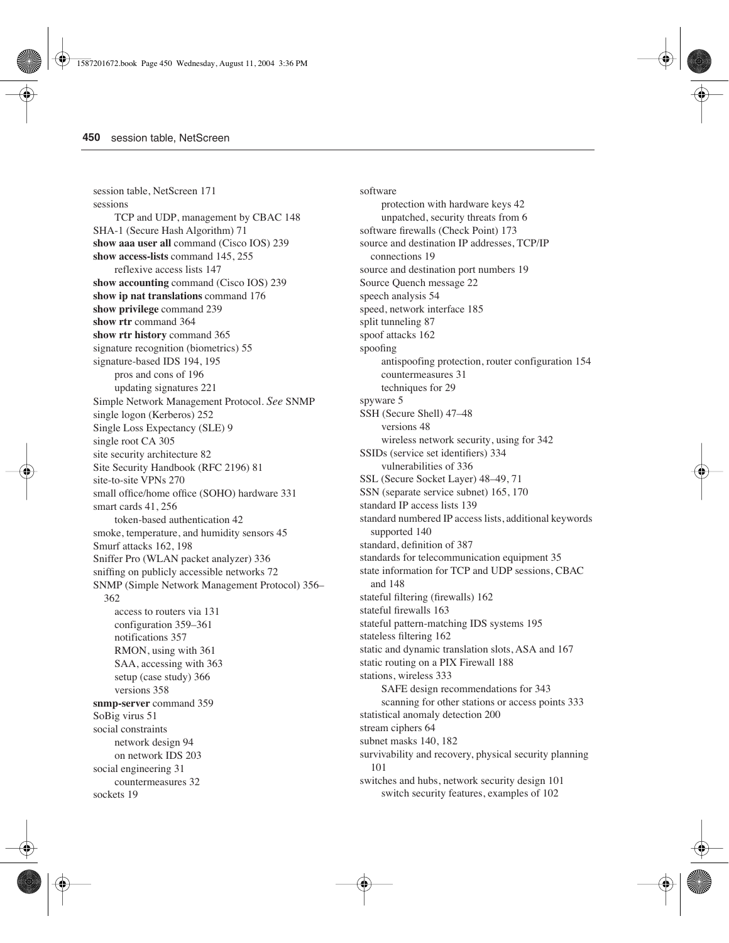session table, NetScreen 171 sessions TCP and UDP, management by CBAC 148 SHA-1 (Secure Hash Algorithm) 71 **show aaa user all** command (Cisco IOS) 239 **show access-lists** command 145, 255 reflexive access lists 147 **show accounting** command (Cisco IOS) 239 **show ip nat translations** command 176 **show privilege** command 239 **show rtr** command 364 **show rtr history** command 365 signature recognition (biometrics) 55 signature-based IDS 194, 195 pros and cons of 196 updating signatures 221 Simple Network Management Protocol. *See* SNMP single logon (Kerberos) 252 Single Loss Expectancy (SLE) 9 single root CA 305 site security architecture 82 Site Security Handbook (RFC 2196) 81 site-to-site VPNs 270 small office/home office (SOHO) hardware 331 smart cards 41, 256 token-based authentication 42 smoke, temperature, and humidity sensors 45 Smurf attacks 162, 198 Sniffer Pro (WLAN packet analyzer) 336 sniffing on publicly accessible networks 72 SNMP (Simple Network Management Protocol) 356– 362 access to routers via 131 configuration 359–361 notifications 357 RMON, using with 361 SAA, accessing with 363 setup (case study) 366 versions 358 **snmp-server** command 359 SoBig virus 51 social constraints network design 94 on network IDS 203 social engineering 31 countermeasures 32 sockets 19

software protection with hardware keys 42 unpatched, security threats from 6 software firewalls (Check Point) 173 source and destination IP addresses, TCP/IP connections 19 source and destination port numbers 19 Source Quench message 22 speech analysis 54 speed, network interface 185 split tunneling 87 spoof attacks 162 spoofing antispoofing protection, router configuration 154 countermeasures 31 techniques for 29 spyware 5 SSH (Secure Shell) 47–48 versions 48 wireless network security, using for 342 SSIDs (service set identifiers) 334 vulnerabilities of 336 SSL (Secure Socket Layer) 48–49, 71 SSN (separate service subnet) 165, 170 standard IP access lists 139 standard numbered IP access lists, additional keywords supported 140 standard, definition of 387 standards for telecommunication equipment 35 state information for TCP and UDP sessions, CBAC and 148 stateful filtering (firewalls) 162 stateful firewalls 163 stateful pattern-matching IDS systems 195 stateless filtering 162 static and dynamic translation slots, ASA and 167 static routing on a PIX Firewall 188 stations, wireless 333 SAFE design recommendations for 343 scanning for other stations or access points 333 statistical anomaly detection 200 stream ciphers 64 subnet masks 140, 182 survivability and recovery, physical security planning 101 switches and hubs, network security design 101 switch security features, examples of 102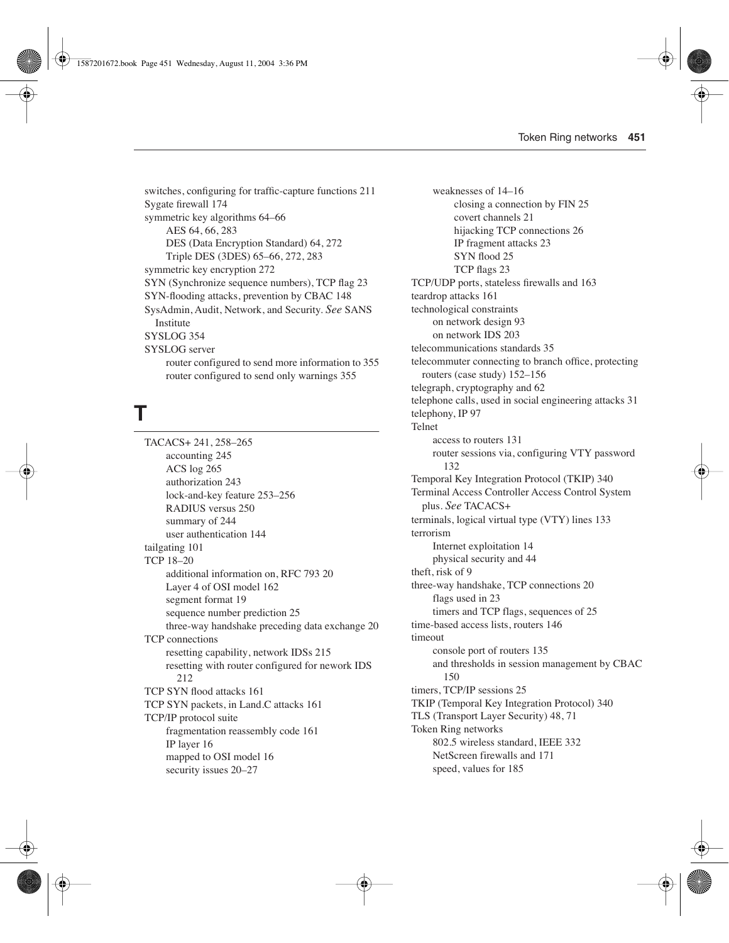switches, configuring for traffic-capture functions 211 Sygate firewall 174 symmetric key algorithms 64–66 AES 64, 66, 283 DES (Data Encryption Standard) 64, 272 Triple DES (3DES) 65–66, 272, 283 symmetric key encryption 272 SYN (Synchronize sequence numbers), TCP flag 23 SYN-flooding attacks, prevention by CBAC 148 SysAdmin, Audit, Network, and Security. *See* SANS Institute SYSLOG 354 SYSLOG server router configured to send more information to 355 router configured to send only warnings 355

# **T**

TACACS+ 241, 258–265 accounting 245 ACS log 265 authorization 243 lock-and-key feature 253–256 RADIUS versus 250 summary of 244 user authentication 144 tailgating 101 TCP 18–20 additional information on, RFC 793 20 Layer 4 of OSI model 162 segment format 19 sequence number prediction 25 three-way handshake preceding data exchange 20 TCP connections resetting capability, network IDSs 215 resetting with router configured for nework IDS 212 TCP SYN flood attacks 161 TCP SYN packets, in Land.C attacks 161 TCP/IP protocol suite fragmentation reassembly code 161 IP layer 16 mapped to OSI model 16 security issues 20–27

weaknesses of 14–16 closing a connection by FIN 25 covert channels 21 hijacking TCP connections 26 IP fragment attacks 23 SYN flood 25 TCP flags 23 TCP/UDP ports, stateless firewalls and 163 teardrop attacks 161 technological constraints on network design 93 on network IDS 203 telecommunications standards 35 telecommuter connecting to branch office, protecting routers (case study) 152–156 telegraph, cryptography and 62 telephone calls, used in social engineering attacks 31 telephony, IP 97 Telnet access to routers 131 router sessions via, configuring VTY password 132 Temporal Key Integration Protocol (TKIP) 340 Terminal Access Controller Access Control System plus. *See* TACACS+ terminals, logical virtual type (VTY) lines 133 terrorism Internet exploitation 14 physical security and 44 theft, risk of 9 three-way handshake, TCP connections 20 flags used in 23 timers and TCP flags, sequences of 25 time-based access lists, routers 146 timeout console port of routers 135 and thresholds in session management by CBAC 150 timers, TCP/IP sessions 25 TKIP (Temporal Key Integration Protocol) 340 TLS (Transport Layer Security) 48, 71 Token Ring networks 802.5 wireless standard, IEEE 332 NetScreen firewalls and 171 speed, values for 185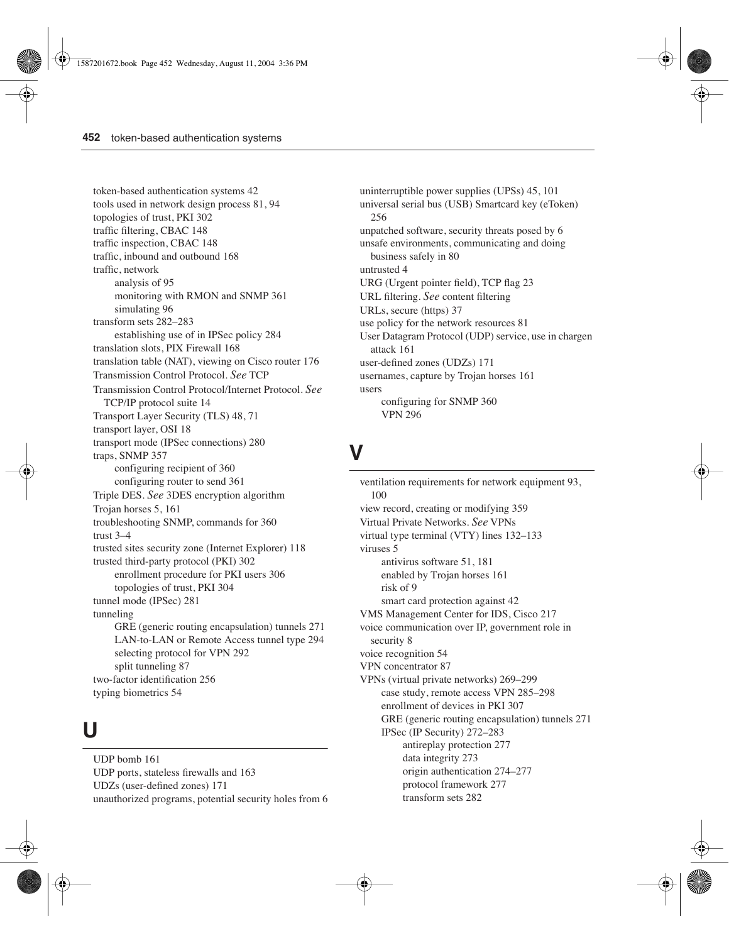token-based authentication systems 42 tools used in network design process 81, 94 topologies of trust, PKI 302 traffic filtering, CBAC 148 traffic inspection, CBAC 148 traffic, inbound and outbound 168 traffic, network analysis of 95 monitoring with RMON and SNMP 361 simulating 96 transform sets 282–283 establishing use of in IPSec policy 284 translation slots, PIX Firewall 168 translation table (NAT), viewing on Cisco router 176 Transmission Control Protocol. *See* TCP Transmission Control Protocol/Internet Protocol. *See* TCP/IP protocol suite 14 Transport Layer Security (TLS) 48, 71 transport layer, OSI 18 transport mode (IPSec connections) 280 traps, SNMP 357 configuring recipient of 360 configuring router to send 361 Triple DES. *See* 3DES encryption algorithm Trojan horses 5, 161 troubleshooting SNMP, commands for 360 trust 3–4 trusted sites security zone (Internet Explorer) 118 trusted third-party protocol (PKI) 302 enrollment procedure for PKI users 306 topologies of trust, PKI 304 tunnel mode (IPSec) 281 tunneling GRE (generic routing encapsulation) tunnels 271 LAN-to-LAN or Remote Access tunnel type 294 selecting protocol for VPN 292 split tunneling 87 two-factor identification 256 typing biometrics 54

### **U**

UDP bomb 161 UDP ports, stateless firewalls and 163 UDZs (user-defined zones) 171 unauthorized programs, potential security holes from 6 uninterruptible power supplies (UPSs) 45, 101 universal serial bus (USB) Smartcard key (eToken) 256 unpatched software, security threats posed by 6 unsafe environments, communicating and doing business safely in 80 untrusted 4 URG (Urgent pointer field), TCP flag 23 URL filtering. *See* content filtering URLs, secure (https) 37 use policy for the network resources 81 User Datagram Protocol (UDP) service, use in chargen attack 161 user-defined zones (UDZs) 171 usernames, capture by Trojan horses 161 users configuring for SNMP 360 VPN 296

# **V**

ventilation requirements for network equipment 93, 100 view record, creating or modifying 359 Virtual Private Networks. *See* VPNs virtual type terminal (VTY) lines 132–133 viruses 5 antivirus software 51, 181 enabled by Trojan horses 161 risk of 9 smart card protection against 42 VMS Management Center for IDS, Cisco 217 voice communication over IP, government role in security 8 voice recognition 54 VPN concentrator 87 VPNs (virtual private networks) 269–299 case study, remote access VPN 285–298 enrollment of devices in PKI 307 GRE (generic routing encapsulation) tunnels 271 IPSec (IP Security) 272–283 antireplay protection 277 data integrity 273 origin authentication 274–277 protocol framework 277 transform sets 282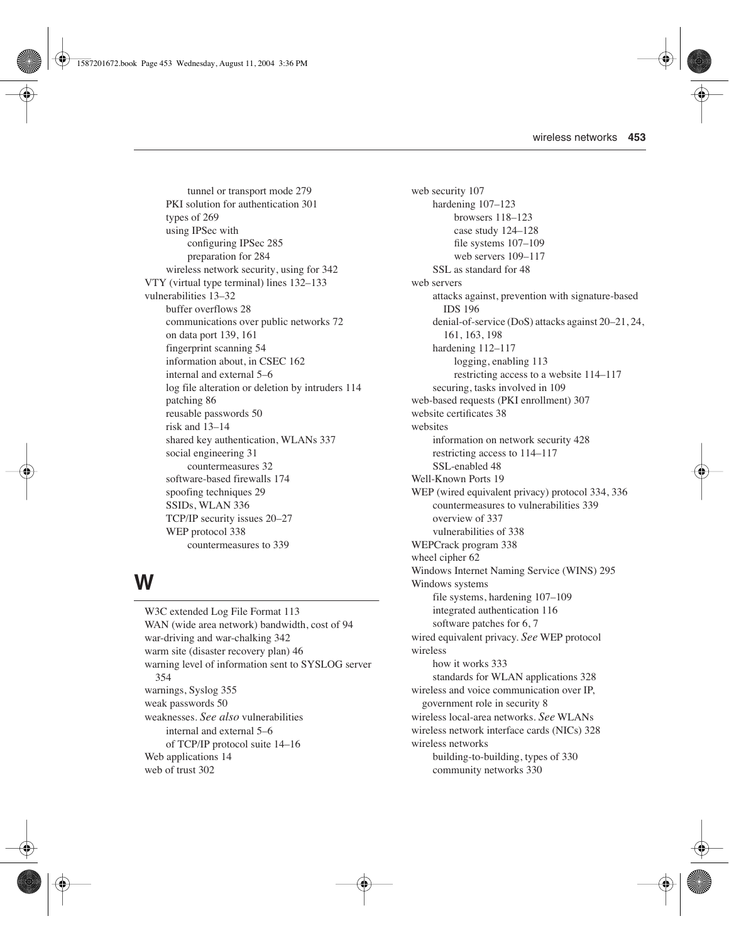tunnel or transport mode 279 PKI solution for authentication 301 types of 269 using IPSec with configuring IPSec 285 preparation for 284 wireless network security, using for 342 VTY (virtual type terminal) lines 132–133 vulnerabilities 13–32 buffer overflows 28 communications over public networks 72 on data port 139, 161 fingerprint scanning 54 information about, in CSEC 162 internal and external 5–6 log file alteration or deletion by intruders 114 patching 86 reusable passwords 50 risk and 13–14 shared key authentication, WLANs 337 social engineering 31 countermeasures 32 software-based firewalls 174 spoofing techniques 29 SSIDs, WLAN 336 TCP/IP security issues 20–27 WEP protocol 338 countermeasures to 339

# **W**

W3C extended Log File Format 113 WAN (wide area network) bandwidth, cost of 94 war-driving and war-chalking 342 warm site (disaster recovery plan) 46 warning level of information sent to SYSLOG server 354 warnings, Syslog 355 weak passwords 50 weaknesses. *See also* vulnerabilities internal and external 5–6 of TCP/IP protocol suite 14–16 Web applications 14 web of trust 302

web security 107 hardening 107-123 browsers 118–123 case study 124–128 file systems 107–109 web servers 109–117 SSL as standard for 48 web servers attacks against, prevention with signature-based IDS 196 denial-of-service (DoS) attacks against 20–21, 24, 161, 163, 198 hardening 112–117 logging, enabling 113 restricting access to a website 114–117 securing, tasks involved in 109 web-based requests (PKI enrollment) 307 website certificates 38 websites information on network security 428 restricting access to 114–117 SSL-enabled 48 Well-Known Ports 19 WEP (wired equivalent privacy) protocol 334, 336 countermeasures to vulnerabilities 339 overview of 337 vulnerabilities of 338 WEPCrack program 338 wheel cipher 62 Windows Internet Naming Service (WINS) 295 Windows systems file systems, hardening 107–109 integrated authentication 116 software patches for 6, 7 wired equivalent privacy. *See* WEP protocol wireless how it works 333 standards for WLAN applications 328 wireless and voice communication over IP, government role in security 8 wireless local-area networks. *See* WLANs wireless network interface cards (NICs) 328 wireless networks building-to-building, types of 330 community networks 330